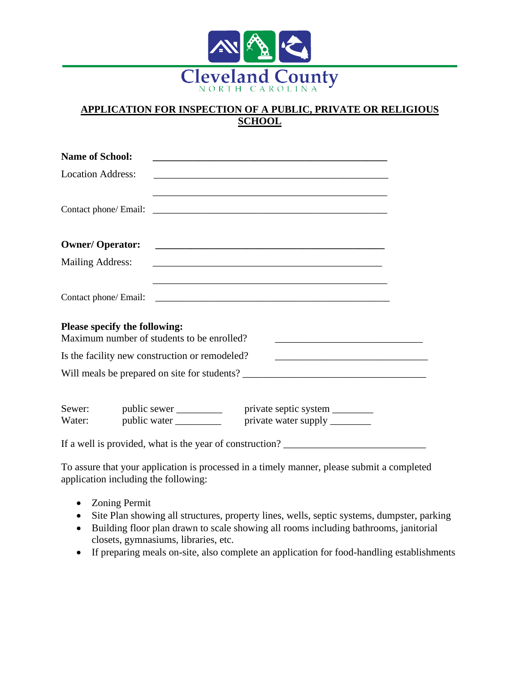

## **APPLICATION FOR INSPECTION OF A PUBLIC, PRIVATE OR RELIGIOUS SCHOOL**

| <b>Name of School:</b>   |                                                                             |                                                                                                                       |  |
|--------------------------|-----------------------------------------------------------------------------|-----------------------------------------------------------------------------------------------------------------------|--|
| <b>Location Address:</b> |                                                                             |                                                                                                                       |  |
|                          |                                                                             |                                                                                                                       |  |
| <b>Owner/ Operator:</b>  |                                                                             | <u> 1989 - Johann Harry Harry Harry Harry Harry Harry Harry Harry Harry Harry Harry Harry Harry Harry Harry Harry</u> |  |
| <b>Mailing Address:</b>  |                                                                             |                                                                                                                       |  |
|                          |                                                                             |                                                                                                                       |  |
|                          | Please specify the following:<br>Maximum number of students to be enrolled? |                                                                                                                       |  |
|                          | Is the facility new construction or remodeled?                              |                                                                                                                       |  |
|                          |                                                                             |                                                                                                                       |  |
| Water:                   |                                                                             | Sewer: public sewer ____________ private septic system ________                                                       |  |
|                          |                                                                             | If a well is provided, what is the year of construction?                                                              |  |

To assure that your application is processed in a timely manner, please submit a completed application including the following:

- Zoning Permit
- Site Plan showing all structures, property lines, wells, septic systems, dumpster, parking
- Building floor plan drawn to scale showing all rooms including bathrooms, janitorial closets, gymnasiums, libraries, etc.
- If preparing meals on-site, also complete an application for food-handling establishments